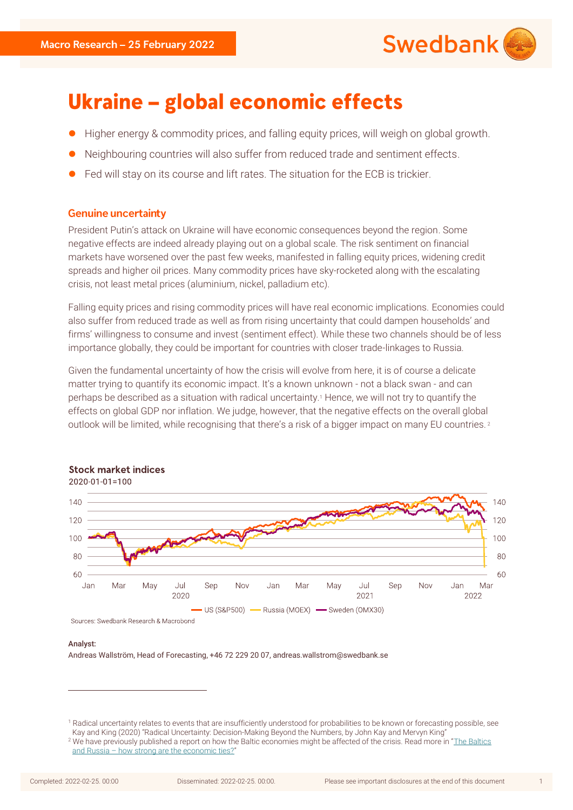

# **Ukraine - global economic effects**

- Higher energy & commodity prices, and falling equity prices, will weigh on global growth.
- Neighbouring countries will also suffer from reduced trade and sentiment effects.
- ⚫ Fed will stay on its course and lift rates. The situation for the ECB is trickier.

# **Genuine uncertainty**

President Putin's attack on Ukraine will have economic consequences beyond the region. Some negative effects are indeed already playing out on a global scale. The risk sentiment on financial markets have worsened over the past few weeks, manifested in falling equity prices, widening credit spreads and higher oil prices. Many commodity prices have sky-rocketed along with the escalating crisis, not least metal prices (aluminium, nickel, palladium etc).

Falling equity prices and rising commodity prices will have real economic implications. Economies could also suffer from reduced trade as well as from rising uncertainty that could dampen households' and firms' willingness to consume and invest (sentiment effect). While these two channels should be of less importance globally, they could be important for countries with closer trade-linkages to Russia.

Given the fundamental uncertainty of how the crisis will evolve from here, it is of course a delicate matter trying to quantify its economic impact. It's a known unknown - not a black swan - and can perhaps be described as a situation with radical uncertainty.<sup>1</sup> Hence, we will not try to quantify the effects on global GDP nor inflation. We judge, however, that the negative effects on the overall global outlook will be limited, while recognising that there's a risk of a bigger impact on many EU countries.<sup>2</sup>



# **Stock market indices**

Analyst:

Andreas Wallström, Head of Forecasting, +46 72 229 20 07, andreas.wallstrom@swedbank.se

<sup>&</sup>lt;sup>1</sup> Radical uncertainty relates to events that are insufficiently understood for probabilities to be known or forecasting possible, see Kay and King (2020) "Radical Uncertainty: Decision-Making Beyond the Numbers, by John Kay and Mervyn King"

<sup>&</sup>lt;sup>2</sup> We have previously published a report on how the Baltic economies might be affected of the crisis. Read more in "The Baltics and Russia – [how strong are the economic ties?](https://www.swedbank-research.com/english/macro_focus/2022/22-02-01/2/the_baltics_and_russia.pdf)"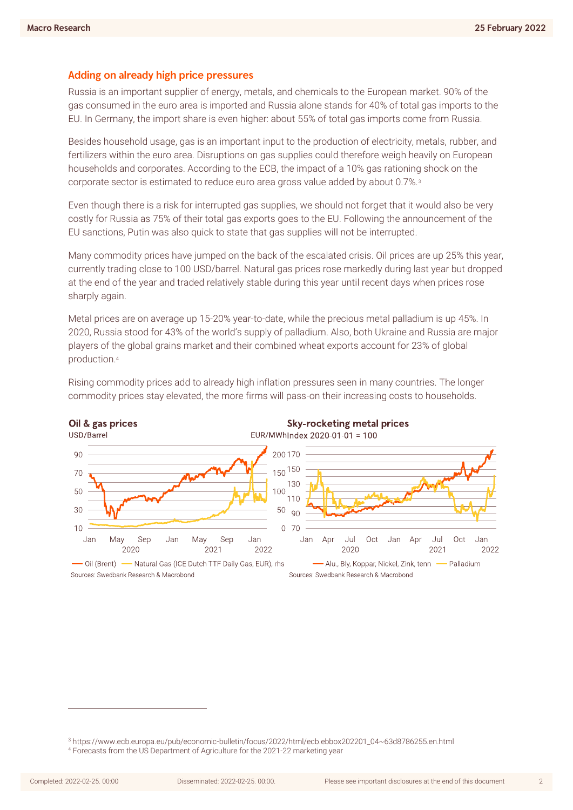## Adding on already high price pressures

Russia is an important supplier of energy, metals, and chemicals to the European market. 90% of the gas consumed in the euro area is imported and Russia alone stands for 40% of total gas imports to the EU. In Germany, the import share is even higher: about 55% of total gas imports come from Russia.

Besides household usage, gas is an important input to the production of electricity, metals, rubber, and fertilizers within the euro area. Disruptions on gas supplies could therefore weigh heavily on European households and corporates. According to the ECB, the impact of a 10% gas rationing shock on the corporate sector is estimated to reduce euro area gross value added by about 0.7%.<sup>3</sup>

Even though there is a risk for interrupted gas supplies, we should not forget that it would also be very costly for Russia as 75% of their total gas exports goes to the EU. Following the announcement of the EU sanctions, Putin was also quick to state that gas supplies will not be interrupted.

Many commodity prices have jumped on the back of the escalated crisis. Oil prices are up 25% this year, currently trading close to 100 USD/barrel. Natural gas prices rose markedly during last year but dropped at the end of the year and traded relatively stable during this year until recent days when prices rose sharply again.

Metal prices are on average up 15-20% year-to-date, while the precious metal palladium is up 45%. In 2020, Russia stood for 43% of the world's supply of palladium. Also, both Ukraine and Russia are major players of the global grains market and their combined wheat exports account for 23% of global production.<sup>4</sup>



Rising commodity prices add to already high inflation pressures seen in many countries. The longer commodity prices stay elevated, the more firms will pass-on their increasing costs to households.

<sup>4</sup> Forecasts from the US Department of Agriculture for the 2021-22 marketing year

<sup>3</sup> https://www.ecb.europa.eu/pub/economic-bulletin/focus/2022/html/ecb.ebbox202201\_04~63d8786255.en.html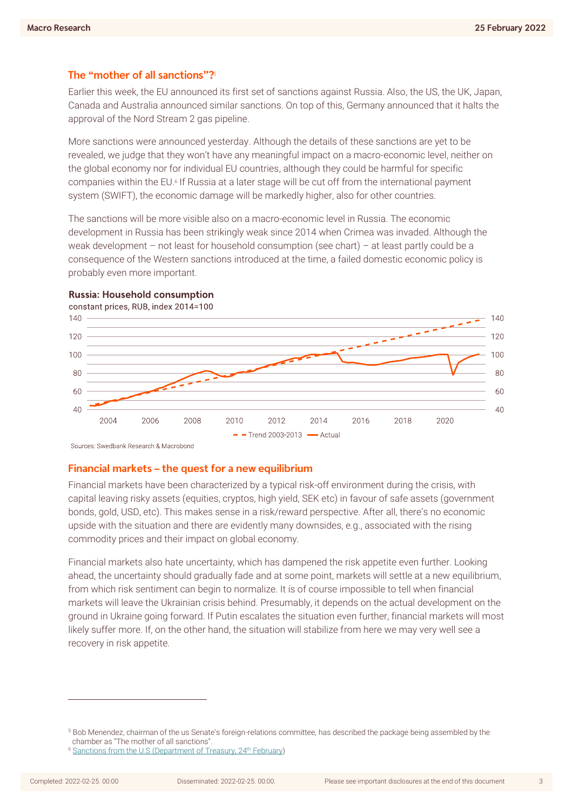# The "mother of all sanctions"?

Earlier this week, the EU announced its first set of sanctions against Russia. Also, the US, the UK, Japan, Canada and Australia announced similar sanctions. On top of this, Germany announced that it halts the approval of the Nord Stream 2 gas pipeline.

More sanctions were announced yesterday. Although the details of these sanctions are yet to be revealed, we judge that they won't have any meaningful impact on a macro-economic level, neither on the global economy nor for individual EU countries, although they could be harmful for specific companies within the EU.6 If Russia at a later stage will be cut off from the international payment system (SWIFT), the economic damage will be markedly higher, also for other countries.

The sanctions will be more visible also on a macro-economic level in Russia. The economic development in Russia has been strikingly weak since 2014 when Crimea was invaded. Although the weak development – not least for household consumption (see chart) – at least partly could be a consequence of the Western sanctions introduced at the time, a failed domestic economic policy is probably even more important.



**Russia: Household consumption** 

Sources: Swedbank Research & Macrobond

## Financial markets - the quest for a new equilibrium

Financial markets have been characterized by a typical risk-off environment during the crisis, with capital leaving risky assets (equities, cryptos, high yield, SEK etc) in favour of safe assets (government bonds, gold, USD, etc). This makes sense in a risk/reward perspective. After all, there's no economic upside with the situation and there are evidently many downsides, e.g., associated with the rising commodity prices and their impact on global economy.

Financial markets also hate uncertainty, which has dampened the risk appetite even further. Looking ahead, the uncertainty should gradually fade and at some point, markets will settle at a new equilibrium, from which risk sentiment can begin to normalize. It is of course impossible to tell when financial markets will leave the Ukrainian crisis behind. Presumably, it depends on the actual development on the ground in Ukraine going forward. If Putin escalates the situation even further, financial markets will most likely suffer more. If, on the other hand, the situation will stabilize from here we may very well see a recovery in risk appetite.

<sup>5</sup> Bob Menendez, chairman of the us Senate's foreign-relations committee, has described the package being assembled by the chamber as "The mother of all sanctions".

<sup>&</sup>lt;sup>6</sup> [Sanctions from the U.S \(Department of Treasury, 24](https://content.govdelivery.com/accounts/USTREAS/bulletins/30c2a69?reqfrom=share)<sup>th</sup> February)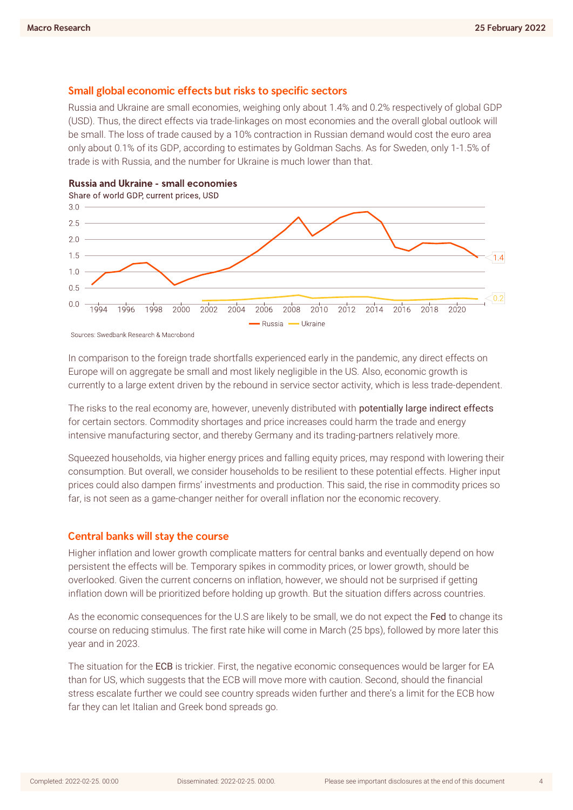### Small global economic effects but risks to specific sectors

Russia and Ukraine are small economies, weighing only about 1.4% and 0.2% respectively of global GDP (USD). Thus, the direct effects via trade-linkages on most economies and the overall global outlook will be small. The loss of trade caused by a 10% contraction in Russian demand would cost the euro area only about 0.1% of its GDP, according to estimates by Goldman Sachs. As for Sweden, only 1-1.5% of trade is with Russia, and the number for Ukraine is much lower than that.





Sources: Swedbank Research & Macrobond

In comparison to the foreign trade shortfalls experienced early in the pandemic, any direct effects on Europe will on aggregate be small and most likely negligible in the US. Also, economic growth is currently to a large extent driven by the rebound in service sector activity, which is less trade-dependent.

The risks to the real economy are, however, unevenly distributed with potentially large indirect effects for certain sectors. Commodity shortages and price increases could harm the trade and energy intensive manufacturing sector, and thereby Germany and its trading-partners relatively more.

Squeezed households, via higher energy prices and falling equity prices, may respond with lowering their consumption. But overall, we consider households to be resilient to these potential effects. Higher input prices could also dampen firms' investments and production. This said, the rise in commodity prices so far, is not seen as a game-changer neither for overall inflation nor the economic recovery.

### **Central banks will stay the course**

Higher inflation and lower growth complicate matters for central banks and eventually depend on how persistent the effects will be. Temporary spikes in commodity prices, or lower growth, should be overlooked. Given the current concerns on inflation, however, we should not be surprised if getting inflation down will be prioritized before holding up growth. But the situation differs across countries.

As the economic consequences for the U.S are likely to be small, we do not expect the Fed to change its course on reducing stimulus. The first rate hike will come in March (25 bps), followed by more later this year and in 2023.

The situation for the ECB is trickier. First, the negative economic consequences would be larger for EA than for US, which suggests that the ECB will move more with caution. Second, should the financial stress escalate further we could see country spreads widen further and there's a limit for the ECB how far they can let Italian and Greek bond spreads go.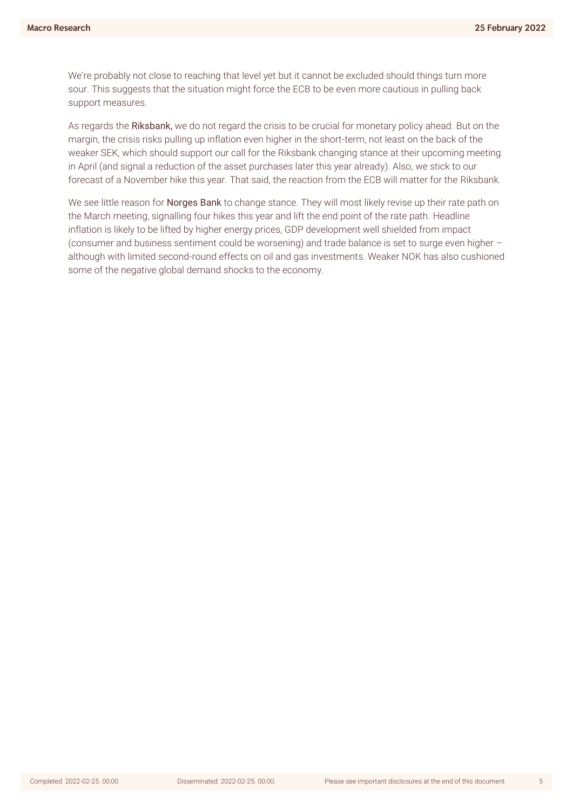We're probably not close to reaching that level yet but it cannot be excluded should things turn more sour. This suggests that the situation might force the ECB to be even more cautious in pulling back support measures.

As regards the Riksbank, we do not regard the crisis to be crucial for monetary policy ahead. But on the margin, the crisis risks pulling up inflation even higher in the short-term, not least on the back of the weaker SEK, which should support our call for the Riksbank changing stance at their upcoming meeting in April (and signal a reduction of the asset purchases later this year already). Also, we stick to our forecast of a November hike this year. That said, the reaction from the ECB will matter for the Riksbank.

We see little reason for Norges Bank to change stance. They will most likely revise up their rate path on the March meeting, signalling four hikes this year and lift the end point of the rate path. Headline inflation is likely to be lifted by higher energy prices, GDP development well shielded from impact (consumer and business sentiment could be worsening) and trade balance is set to surge even higher – although with limited second-round effects on oil and gas investments. Weaker NOK has also cushioned some of the negative global demand shocks to the economy.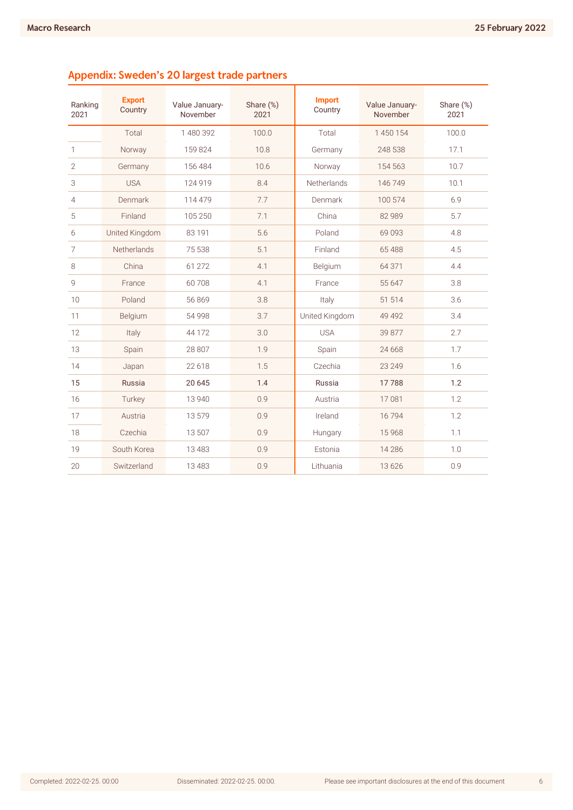| Ranking<br>2021 | <b>Export</b><br>Country | Value January-<br>November | Share (%)<br>2021 | <b>Import</b><br>Country | Value January-<br>November | Share (%)<br>2021 |
|-----------------|--------------------------|----------------------------|-------------------|--------------------------|----------------------------|-------------------|
|                 | Total                    | 1480392                    | 100.0             | Total                    | 1450154                    | 100.0             |
| $\mathbf{1}$    | Norway                   | 159824                     | 10.8              | Germany                  | 248 538                    | 17.1              |
| $\overline{2}$  | Germany                  | 156 484                    | 10.6              | Norway                   | 154 563                    | 10.7              |
| 3               | <b>USA</b>               | 124 919                    | 8.4               | Netherlands              | 146 749                    | 10.1              |
| 4               | Denmark                  | 114 479                    | 7.7               | Denmark                  | 100 574                    | 6.9               |
| 5               | Finland                  | 105 250                    | 7.1               | China                    | 82 989                     | 5.7               |
| 6               | United Kingdom           | 83 191                     | 5.6               | Poland                   | 69093                      | 4.8               |
| 7               | Netherlands              | 75 538                     | 5.1               | Finland                  | 65 488                     | 4.5               |
| 8               | China                    | 61 272                     | 4.1               | Belgium                  | 64 371                     | 4.4               |
| 9               | France                   | 60708                      | 4.1               | France                   | 55 647                     | 3.8               |
| 10              | Poland                   | 56869                      | 3.8               | Italy                    | 51 514                     | 3.6               |
| 11              | Belgium                  | 54 9 98                    | 3.7               | United Kingdom           | 49 4 9 2                   | 3.4               |
| 12              | Italy                    | 44 172                     | 3.0               | <b>USA</b>               | 39 877                     | 2.7               |
| 13              | Spain                    | 28 807                     | 1.9               | Spain                    | 24 6 68                    | 1.7               |
| 14              | Japan                    | 22 6 18                    | 1.5               | Czechia                  | 23 249                     | 1.6               |
| 15              | Russia                   | 20 645                     | 1.4               | Russia                   | 17788                      | 1.2               |
| 16              | Turkey                   | 13 940                     | 0.9               | Austria                  | 17081                      | 1.2               |
| 17              | Austria                  | 13579                      | 0.9               | Ireland                  | 16794                      | 1.2               |
| 18              | Czechia                  | 13 507                     | 0.9               | Hungary                  | 15968                      | 1.1               |
| 19              | South Korea              | 13 4 8 3                   | 0.9               | Estonia                  | 14 2 8 6                   | 1.0               |
| 20              | Switzerland              | 13 4 8 3                   | 0.9               | Lithuania                | 13626                      | 0.9               |

# Appendix: Sweden's 20 largest trade partners